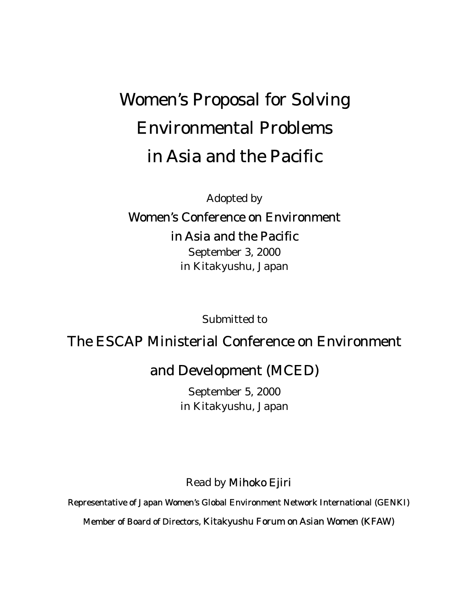## Women's Proposal for Solving Environmental Problems in Asia and the Pacific

Adopted by

## Women's Conference on Environment in Asia and the Pacific

September 3, 2000 in Kitakyushu, Japan

Submitted to

## The ESCAP Ministerial Conference on Environment

## and Development (MCED)

September 5, 2000 in Kitakyushu, Japan

Read by Mihoko Ejiri

Representative of Japan Women's Global Environment Network International (GENKI)

Member of Board of Directors, Kitakyushu Forum on Asian Women (KFAW)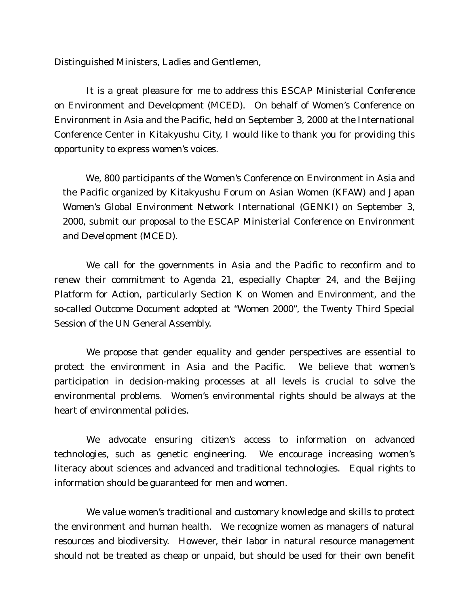Distinguished Ministers, Ladies and Gentlemen,

It is a great pleasure for me to address this ESCAP Ministerial Conference on Environment and Development (MCED). On behalf of Women's Conference on Environment in Asia and the Pacific, held on September 3, 2000 at the International Conference Center in Kitakyushu City, I would like to thank you for providing this opportunity to express women's voices.

 We, 800 participants of the Women's Conference on Environment in Asia and the Pacific organized by Kitakyushu Forum on Asian Women (KFAW) and Japan Women's Global Environment Network International (GENKI) on September 3, 2000, submit our proposal to the ESCAP Ministerial Conference on Environment and Development (MCED).

We call for the governments in Asia and the Pacific to reconfirm and to renew their commitment to Agenda 21, especially Chapter 24, and the Beijing Platform for Action, particularly Section K on Women and Environment, and the so-called Outcome Document adopted at "Women 2000", the Twenty Third Special Session of the UN General Assembly.

We propose that gender equality and gender perspectives are essential to protect the environment in Asia and the Pacific. We believe that women's participation in decision-making processes at all levels is crucial to solve the environmental problems. Women's environmental rights should be always at the heart of environmental policies.

We advocate ensuring citizen's access to information on advanced technologies, such as genetic engineering. We encourage increasing women's literacy about sciences and advanced and traditional technologies. Equal rights to information should be guaranteed for men and women.

We value women's traditional and customary knowledge and skills to protect the environment and human health. We recognize women as managers of natural resources and biodiversity. However, their labor in natural resource management should not be treated as cheap or unpaid, but should be used for their own benefit